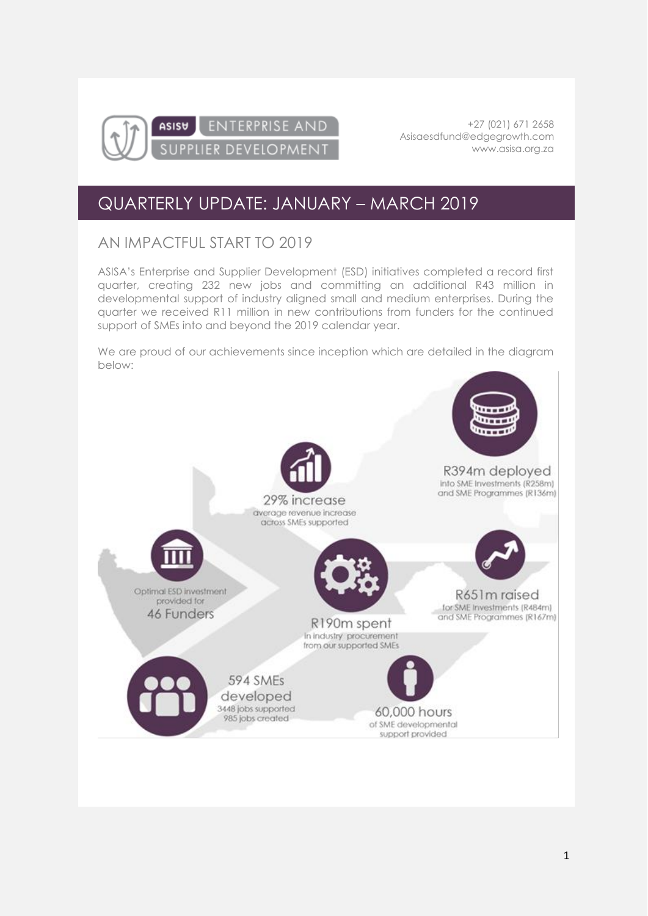

+27 (021) 671 2658 [Asisaesdfund@edgegrowth.com](mailto:Asisaesdfund@edgegrowth.com) [www.asisa.org.za](http://www.asisa.org.za/)

## QUARTERLY UPDATE: JANUARY – MARCH 2019

### AN IMPACTFUL START TO 2019

ASISA's Enterprise and Supplier Development (ESD) initiatives completed a record first quarter, creating 232 new jobs and committing an additional R43 million in developmental support of industry aligned small and medium enterprises. During the quarter we received R11 million in new contributions from funders for the continued support of SMEs into and beyond the 2019 calendar year.

We are proud of our achievements since inception which are detailed in the diagram below:

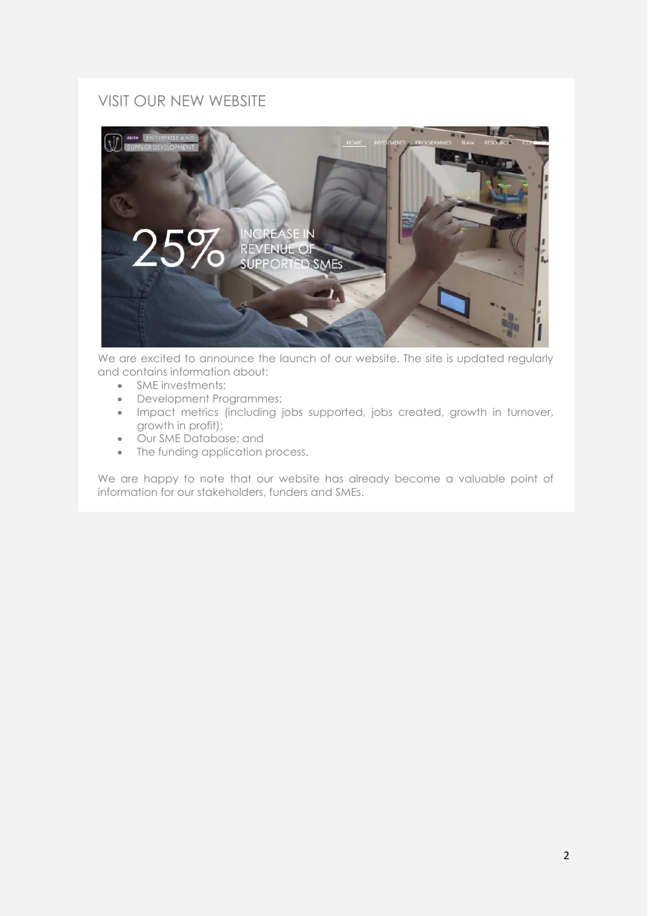### VISIT OUR NEW WEBSITE



We are excited to announce the launch of our website. The site is updated regularly and contains information about:

- SME investments;
- Development Programmes;
- Impact metrics (including jobs supported, jobs created, growth in turnover, growth in profit);
- Our SME Database; and
- The funding application process.

We are happy to note that our website has already become a valuable point of information for our stakeholders, funders and SMEs.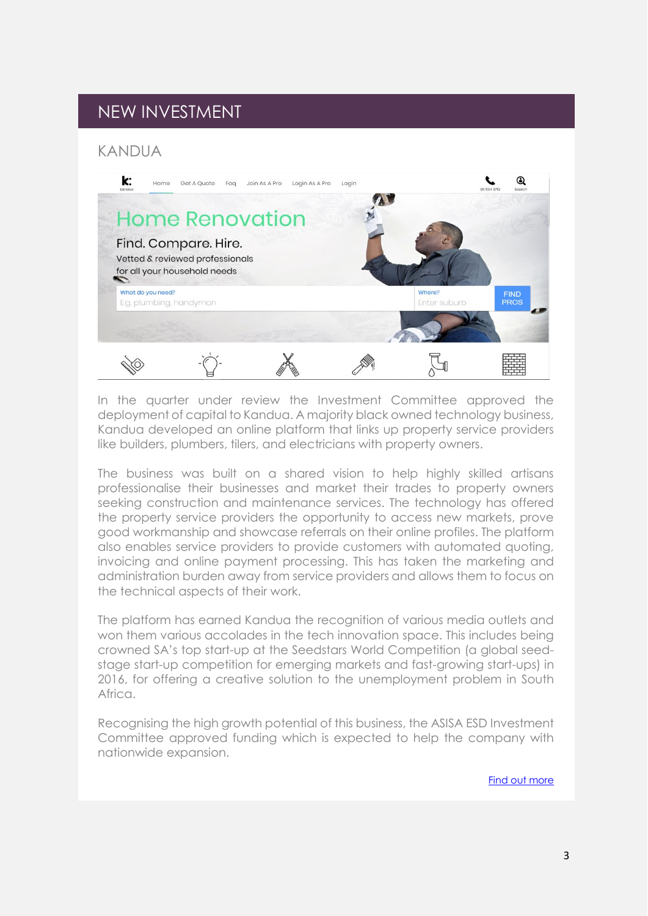## NEW INVESTMENT

#### KANDUA



In the quarter under review the Investment Committee approved the deployment of capital to Kandua. A majority black owned technology business, Kandua developed an online platform that links up property service providers like builders, plumbers, tilers, and electricians with property owners.

The business was built on a shared vision to help highly skilled artisans professionalise their businesses and market their trades to property owners seeking construction and maintenance services. The technology has offered the property service providers the opportunity to access new markets, prove good workmanship and showcase referrals on their online profiles. The platform also enables service providers to provide customers with automated quoting, invoicing and online payment processing. This has taken the marketing and administration burden away from service providers and allows them to focus on the technical aspects of their work.

The platform has earned Kandua the recognition of various media outlets and won them various accolades in the tech innovation space. This includes being crowned SA's top start-up at the Seedstars World Competition (a global seedstage start-up competition for emerging markets and fast-growing start-ups) in 2016, for offering a creative solution to the unemployment problem in South Africa.

Recognising the high growth potential of this business, the ASISA ESD Investment Committee approved funding which is expected to help the company with nationwide expansion.

[Find out more](https://kandua.com/)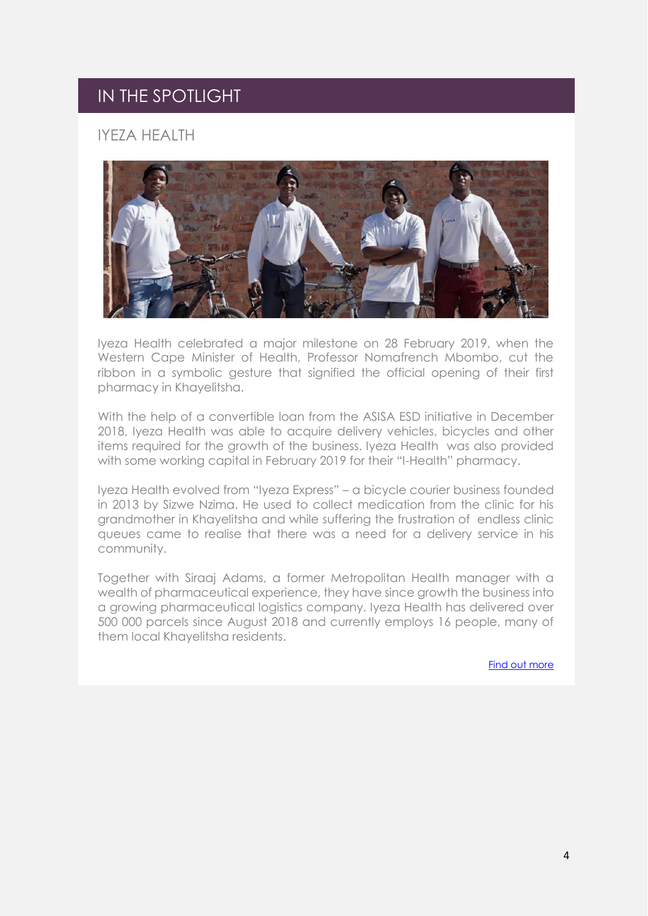## IN THE SPOTLIGHT

### IYEZA HEALTH



Iyeza Health celebrated a major milestone on 28 February 2019, when the Western Cape Minister of Health, Professor Nomafrench Mbombo, cut the ribbon in a symbolic gesture that signified the official opening of their first pharmacy in Khayelitsha.

With the help of a convertible loan from the ASISA ESD initiative in December 2018, Iyeza Health was able to acquire delivery vehicles, bicycles and other items required for the growth of the business. Iyeza Health was also provided with some working capital in February 2019 for their "I-Health" pharmacy.

Iyeza Health evolved from "Iyeza Express" – a bicycle courier business founded in 2013 by Sizwe Nzima. He used to collect medication from the clinic for his grandmother in Khayelitsha and while suffering the frustration of endless clinic queues came to realise that there was a need for a delivery service in his community.

Together with Siraaj Adams, a former Metropolitan Health manager with a wealth of pharmaceutical experience, they have since growth the business into a growing pharmaceutical logistics company. Iyeza Health has delivered over 500 000 parcels since August 2018 and currently employs 16 people, many of them local Khayelitsha residents.

[Find out more](https://www.iyezahealth.co.za/)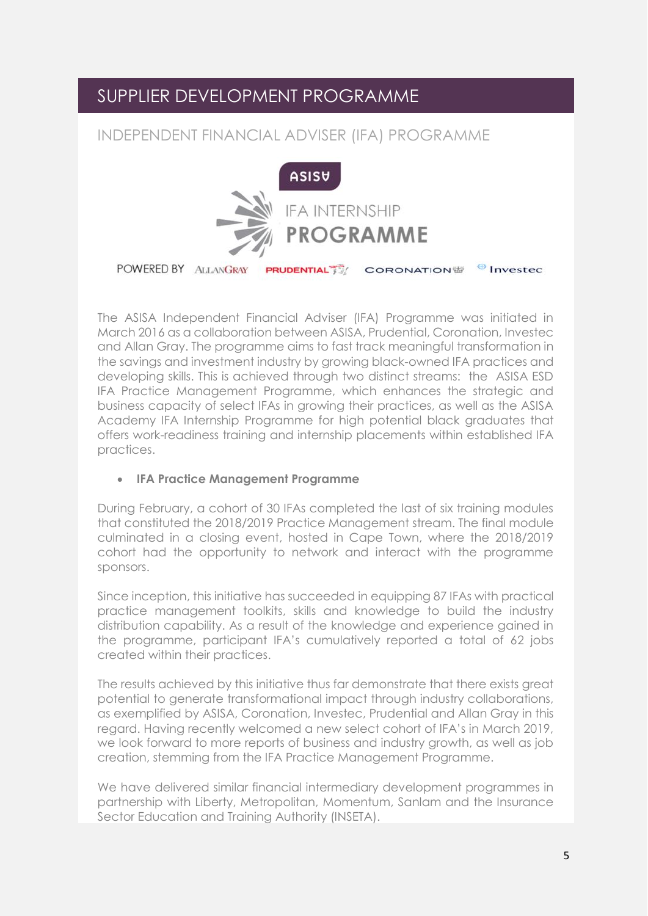## SUPPLIER DEVELOPMENT PROGRAMME

### INDEPENDENT FINANCIAL ADVISER (IFA) PROGRAMME



The ASISA Independent Financial Adviser (IFA) Programme was initiated in March 2016 as a collaboration between ASISA, Prudential, Coronation, Investec and Allan Gray. The programme aims to fast track meaningful transformation in the savings and investment industry by growing black-owned IFA practices and developing skills. This is achieved through two distinct streams: the ASISA ESD IFA Practice Management Programme, which enhances the strategic and business capacity of select IFAs in growing their practices, as well as the ASISA Academy IFA Internship Programme for high potential black graduates that offers work-readiness training and internship placements within established IFA practices.

#### • **IFA Practice Management Programme**

During February, a cohort of 30 IFAs completed the last of six training modules that constituted the 2018/2019 Practice Management stream. The final module culminated in a closing event, hosted in Cape Town, where the 2018/2019 cohort had the opportunity to network and interact with the programme sponsors.

Since inception, this initiative has succeeded in equipping 87 IFAs with practical practice management toolkits, skills and knowledge to build the industry distribution capability. As a result of the knowledge and experience gained in the programme, participant IFA's cumulatively reported a total of 62 jobs created within their practices.

The results achieved by this initiative thus far demonstrate that there exists great potential to generate transformational impact through industry collaborations, as exemplified by ASISA, Coronation, Investec, Prudential and Allan Gray in this regard. Having recently welcomed a new select cohort of IFA's in March 2019, we look forward to more reports of business and industry growth, as well as job creation, stemming from the IFA Practice Management Programme.

We have delivered similar financial intermediary development programmes in partnership with Liberty, Metropolitan, Momentum, Sanlam and the Insurance Sector Education and Training Authority (INSETA).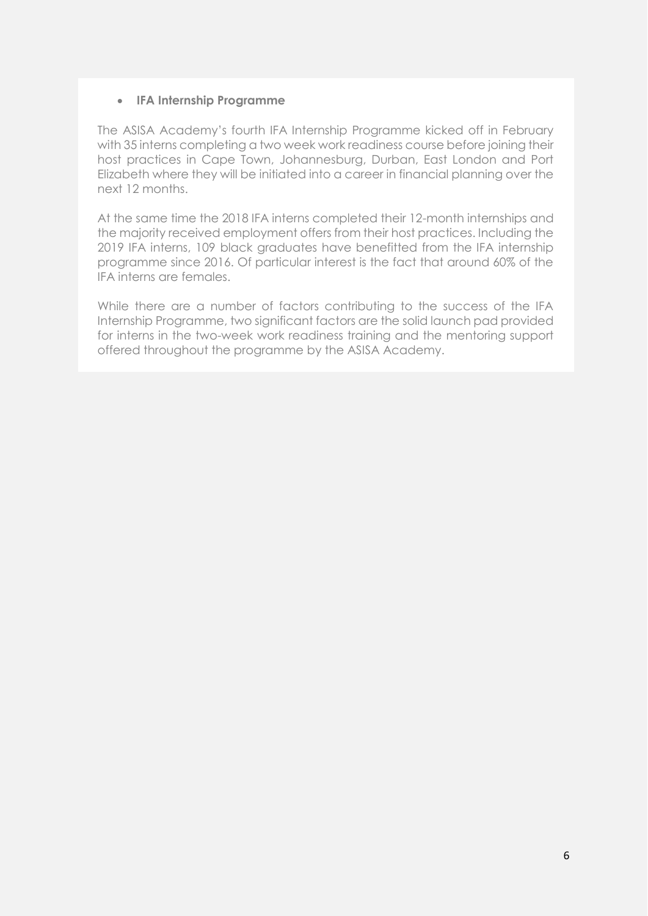#### • **IFA Internship Programme**

The ASISA Academy's fourth IFA Internship Programme kicked off in February with 35 interns completing a two week work readiness course before joining their host practices in Cape Town, Johannesburg, Durban, East London and Port Elizabeth where they will be initiated into a career in financial planning over the next 12 months.

At the same time the 2018 IFA interns completed their 12-month internships and the majority received employment offers from their host practices. Including the 2019 IFA interns, 109 black graduates have benefitted from the IFA internship programme since 2016. Of particular interest is the fact that around 60% of the IFA interns are females.

While there are a number of factors contributing to the success of the IFA Internship Programme, two significant factors are the solid launch pad provided for interns in the two-week work readiness training and the mentoring support offered throughout the programme by the ASISA Academy.